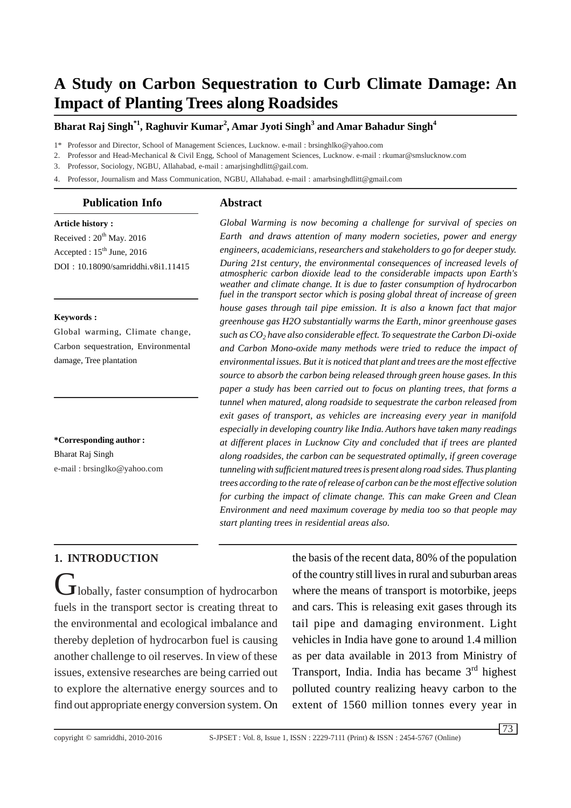# **A Study on Carbon Sequestration to Curb Climate Damage: An Impact of Planting Trees along Roadsides**

#### **Bharat Raj Singh\*1, Raghuvir Kumar<sup>2</sup> , Amar Jyoti Singh<sup>3</sup> and Amar Bahadur Singh<sup>4</sup>**

1\* Professor and Director, School of Management Sciences, Lucknow. e-mail : brsinghlko@yahoo.com

2. Professor and Head-Mechanical & Civil Engg, School of Management Sciences, Lucknow. e-mail : rkumar@smslucknow.com

3. Professor, Sociology, NGBU, Allahabad, e-mail : amarjsinghdlitt@gail.com.

4. Professor, Journalism and Mass Communication, NGBU, Allahabad. e-mail : amarbsinghdlitt@gmail.com

#### **Publication Info**

#### **Abstract**

**Article history :** Received :  $20^{th}$  May. 2016 Accepted : 15<sup>th</sup> June, 2016 DOI : 10.18090/samriddhi.v8i1.11415

#### **Keywords :**

Global warming, Climate change, Carbon sequestration, Environmental damage, Tree plantation

**\*Corresponding author :** Bharat Raj Singh

e-mail : brsinglko@yahoo.com

*Global Warming is now becoming a challenge for survival of species on Earth and draws attention of many modern societies, power and energy engineers, academicians, researchers and stakeholders to go for deeper study. During 21st century, the environmental consequences of increased levels of atmospheric carbon dioxide lead to the considerable impacts upon Earth's weather and climate change. It is due to faster consumption of hydrocarbon fuel in the transport sector which is posing global threat of increase of green house gases through tail pipe emission. It is also a known fact that major greenhouse gas H2O substantially warms the Earth, minor greenhouse gases such as CO<sup>2</sup> have also considerable effect. To sequestrate the Carbon Di-oxide and Carbon Mono-oxide many methods were tried to reduce the impact of environmental issues. But it is noticed that plant and trees are the most effective source to absorb the carbon being released through green house gases. In this paper a study has been carried out to focus on planting trees, that forms a tunnel when matured, along roadside to sequestrate the carbon released from exit gases of transport, as vehicles are increasing every year in manifold especially in developing country like India. Authors have taken many readings at different places in Lucknow City and concluded that if trees are planted along roadsides, the carbon can be sequestrated optimally, if green coverage tunnelingwith sufficient matured treesis present along road sides. Thus planting trees according to the rate ofrelease of carbon can be the most effective solution for curbing the impact of climate change. This can make Green and Clean Environment and need maximum coverage by media too so that people may start planting trees in residential areas also.*

## **1. INTRODUCTION**

 $J$ lobally, faster consumption of hydrocarbon fuels in the transport sector is creating threat to the environmental and ecological imbalance and thereby depletion of hydrocarbon fuel is causing another challenge to oil reserves. In view of these issues, extensive researches are being carried out to explore the alternative energy sources and to find out appropriate energy conversion system. On

the basis of the recent data, 80% of the population of the country still lives in rural and suburban areas where the means of transport is motorbike, jeeps and cars. This is releasing exit gases through its tail pipe and damaging environment. Light vehicles in India have gone to around 1.4 million as per data available in 2013 from Ministry of Transport, India. India has became 3<sup>rd</sup> highest polluted country realizing heavy carbon to the extent of 1560 million tonnes every year in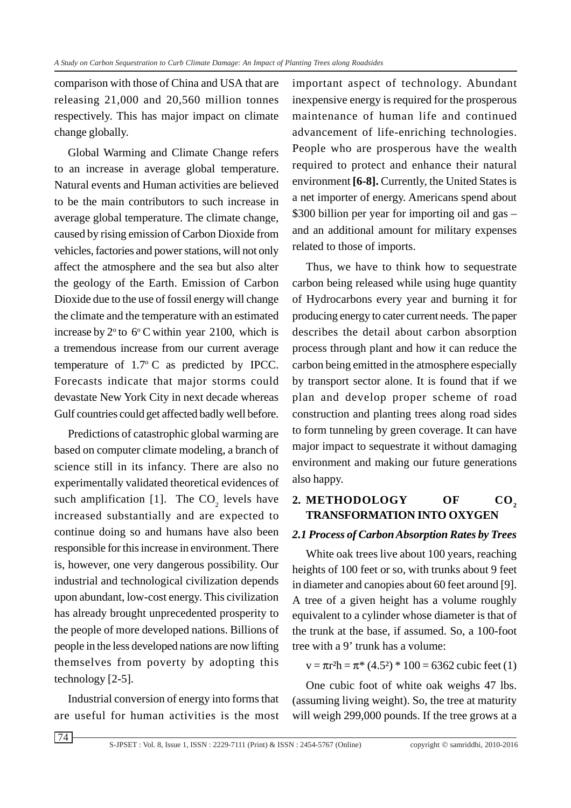comparison with those of China and USA that are releasing 21,000 and 20,560 million tonnes respectively. This has major impact on climate change globally.

Global Warming and Climate Change refers to an increase in average global temperature. Natural events and Human activities are believed to be the main contributors to such increase in average global temperature. The climate change, caused by rising emission of Carbon Dioxide from vehicles, factories and power stations, will not only affect the atmosphere and the sea but also alter the geology of the Earth. Emission of Carbon Dioxide due to the use of fossil energy will change the climate and the temperature with an estimated increase by  $2^{\circ}$  to  $6^{\circ}$ C within year 2100, which is a tremendous increase from our current average temperature of  $1.7^{\circ}$  C as predicted by IPCC. Forecasts indicate that major storms could devastate New York City in next decade whereas Gulf countries could get affected badly well before.

Predictions of catastrophic global warming are based on computer climate modeling, a branch of science still in its infancy. There are also no experimentally validated theoretical evidences of such amplification [1]. The  $CO_2$  levels have increased substantially and are expected to continue doing so and humans have also been responsible for this increase in environment. There is, however, one very dangerous possibility. Our industrial and technological civilization depends upon abundant, low-cost energy. This civilization has already brought unprecedented prosperity to the people of more developed nations. Billions of people in the less developed nations are now lifting themselves from poverty by adopting this technology [2-5].

Industrial conversion of energy into forms that are useful for human activities is the most important aspect of technology. Abundant inexpensive energy is required for the prosperous maintenance of human life and continued advancement of life-enriching technologies. People who are prosperous have the wealth required to protect and enhance their natural environment **[6-8].** Currently, the United States is a net importer of energy. Americans spend about \$300 billion per year for importing oil and gas – and an additional amount for military expenses related to those of imports.

Thus, we have to think how to sequestrate carbon being released while using huge quantity of Hydrocarbons every year and burning it for producing energy to cater current needs. The paper describes the detail about carbon absorption process through plant and how it can reduce the carbon being emitted in the atmosphere especially by transport sector alone. It is found that if we plan and develop proper scheme of road construction and planting trees along road sides to form tunneling by green coverage. It can have major impact to sequestrate it without damaging environment and making our future generations also happy.

# 2. METHODOLOGY OF CO<sub>2</sub> **TRANSFORMATION INTO OXYGEN**

#### *2.1 Process of Carbon Absorption Rates by Trees*

White oak trees live about 100 years, reaching heights of 100 feet or so, with trunks about 9 feet in diameter and canopies about 60 feet around [9]. A tree of a given height has a volume roughly equivalent to a cylinder whose diameter is that of the trunk at the base, if assumed. So, a 100-foot tree with a 9' trunk has a volume:

 $v = \pi r^2 h = \pi^* (4.5^2) * 100 = 6362$  cubic feet (1)

One cubic foot of white oak weighs 47 lbs. (assuming living weight). So, the tree at maturity will weigh 299,000 pounds. If the tree grows at a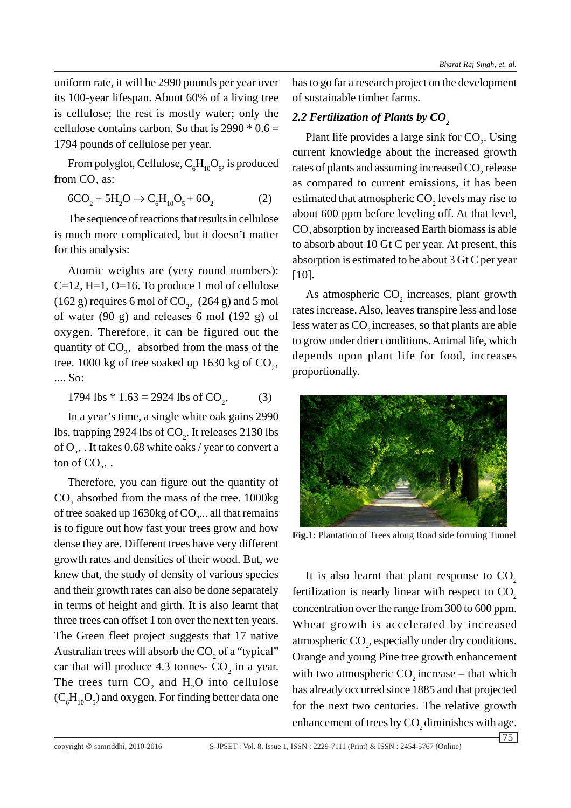uniform rate, it will be 2990 pounds per year over its 100-year lifespan. About 60% of a living tree is cellulose; the rest is mostly water; only the cellulose contains carbon. So that is  $2990 * 0.6 =$ 1794 pounds of cellulose per year.

From polyglot, Cellulose,  $\mathrm{C_{6}H_{10}O_{5}}$ , is produced from CO, as:

$$
6CO_2 + 5H_2O \to C_6H_{10}O_5 + 6O_2 \tag{2}
$$

The sequence of reactions that results in cellulose is much more complicated, but it doesn't matter for this analysis:

Atomic weights are (very round numbers): C=12, H=1, O=16. To produce 1 mol of cellulose (162 g) requires 6 mol of  $CO<sub>2</sub>$ , (264 g) and 5 mol of water (90 g) and releases 6 mol (192 g) of oxygen. Therefore, it can be figured out the quantity of  $CO<sub>2</sub>$ , absorbed from the mass of the tree.  $1000 \text{ kg}$  of tree soaked up 1630 kg of  $\text{CO}_2$ , .... So:

1794 lbs  $*$  1.63 = 2924 lbs of CO<sub>2</sub>,  $(3)$ 

In a year's time, a single white oak gains 2990 lbs, trapping 2924 lbs of  $\text{CO}_2$ . It releases 2130 lbs of  $O_2^{\vphantom{\dagger}}$  . It takes 0.68 white oaks / year to convert a ton of  $CO_2$ , .

Therefore, you can figure out the quantity of  $\text{CO}_2$  absorbed from the mass of the tree. 1000kg of tree soaked up 1630kg of  $\mathrm{CO}_2$ ... all that remains is to figure out how fast your trees grow and how dense they are. Different trees have very different growth rates and densities of their wood. But, we knew that, the study of density of various species and their growth rates can also be done separately in terms of height and girth. It is also learnt that three trees can offset 1 ton over the next ten years. The Green fleet project suggests that 17 native Australian trees will absorb the  $CO<sub>2</sub>$  of a "typical" car that will produce 4.3 tonnes-  $CO_2$  in a year. The trees turn  $CO_2$  and  $H_2O$  into cellulose  $(C_6H_{10}O_5)$  and oxygen. For finding better data one

has to go far a research project on the development of sustainable timber farms.

## 2.2 Fertilization of Plants by CO<sub>2</sub>

Plant life provides a large sink for  $CO<sub>2</sub>$ . Using current knowledge about the increased growth rates of plants and assuming increased  $\mathrm{CO}_2$  release as compared to current emissions, it has been estimated that atmospheric  $\mathrm{CO}_2$  levels may rise to about 600 ppm before leveling off. At that level, CO<sub>2</sub> absorption by increased Earth biomass is able to absorb about 10 Gt C per year. At present, this absorption is estimated to be about 3 Gt C per year [10].

As atmospheric  $CO<sub>2</sub>$  increases, plant growth rates increase. Also, leaves transpire less and lose less water as  $CO<sub>2</sub>$  increases, so that plants are able to grow under drier conditions. Animal life, which depends upon plant life for food, increases proportionally.



**Fig.1:** Plantation of Trees along Road side forming Tunnel

It is also learnt that plant response to  $CO<sub>2</sub>$ fertilization is nearly linear with respect to  $CO<sub>2</sub>$ concentration over the range from 300 to 600 ppm. Wheat growth is accelerated by increased atmospheric  $CO<sub>2</sub>$ , especially under dry conditions. Orange and young Pine tree growth enhancement with two atmospheric  $CO$ , increase – that which has already occurred since 1885 and that projected for the next two centuries. The relative growth enhancement of trees by CO<sub>2</sub> diminishes with age.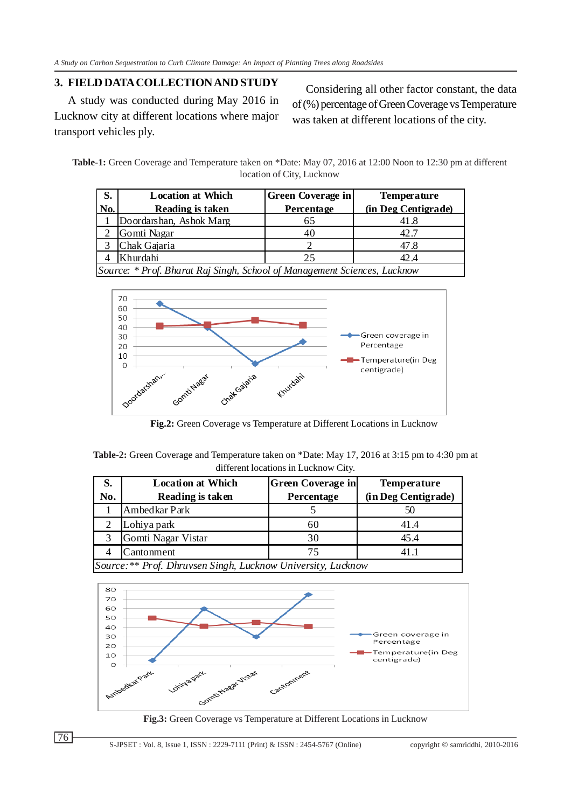## **3. FIELD DATA COLLECTION AND STUDY**

A study was conducted during May 2016 in Lucknow city at different locations where major transport vehicles ply.

Considering all other factor constant, the data of (%) percentage of Green Coverage vs Temperature was taken at different locations of the city.

**Table-1:** Green Coverage and Temperature taken on \*Date: May 07, 2016 at 12:00 Noon to 12:30 pm at different location of City, Lucknow

| S.                                                                       | <b>Location at Which</b> | <b>Green Coverage in</b> | <b>Temperature</b>  |  |  |
|--------------------------------------------------------------------------|--------------------------|--------------------------|---------------------|--|--|
| No.                                                                      | Reading is taken         | Percentage               | (in Deg Centigrade) |  |  |
|                                                                          | Doordarshan, Ashok Marg  | 65                       | 41.8                |  |  |
|                                                                          | Gomti Nagar              |                          | 42.7                |  |  |
|                                                                          | Chak Gajaria             |                          | 47.8                |  |  |
|                                                                          | Khurdahi                 | 25                       | 42.4                |  |  |
| Source: * Prof. Bharat Raj Singh, School of Management Sciences, Lucknow |                          |                          |                     |  |  |



**Fig.2:** Green Coverage vs Temperature at Different Locations in Lucknow

| <b>Table-2:</b> Green Coverage and Temperature taken on *Date: May 17, 2016 at 3:15 pm to 4:30 pm at |  |  |  |
|------------------------------------------------------------------------------------------------------|--|--|--|
| different locations in Lucknow City.                                                                 |  |  |  |

| S.                                                           | <b>Location at Which</b> | <b>Green Coverage in</b> | <b>Temperature</b>  |  |  |
|--------------------------------------------------------------|--------------------------|--------------------------|---------------------|--|--|
| No.                                                          | Reading is taken         | Percentage               | (in Deg Centigrade) |  |  |
|                                                              | Ambedkar Park            |                          | 50                  |  |  |
|                                                              | Lohiya park              | 60                       | 41.4                |  |  |
|                                                              | Gomti Nagar Vistar       | 30                       | 45.4                |  |  |
|                                                              | Cantonment               | 75                       | 411                 |  |  |
| Source: ** Prof. Dhruvsen Singh, Lucknow University, Lucknow |                          |                          |                     |  |  |



**Fig.3:** Green Coverage vs Temperature at Different Locations in Lucknow

76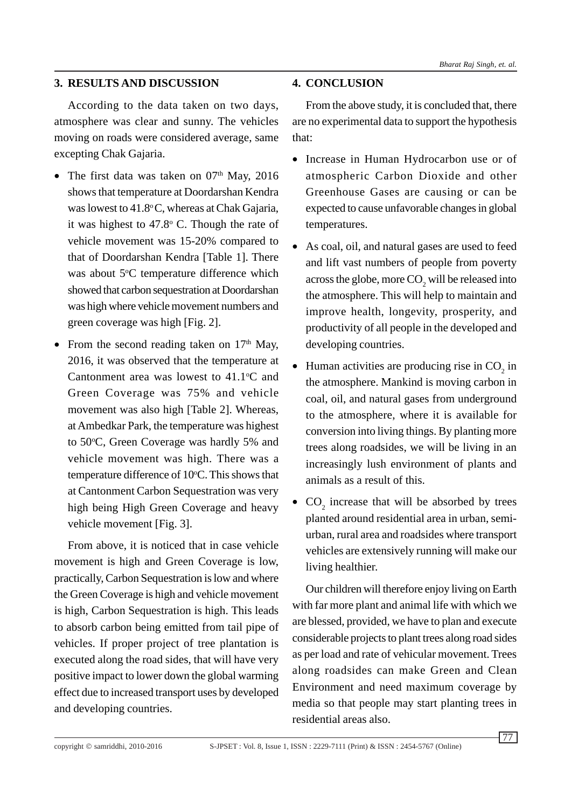## **3. RESULTS AND DISCUSSION**

According to the data taken on two days, atmosphere was clear and sunny. The vehicles moving on roads were considered average, same excepting Chak Gajaria.

- The first data was taken on  $07<sup>th</sup>$  May, 2016 shows that temperature at Doordarshan Kendra was lowest to  $41.8^{\circ}$ C, whereas at Chak Gajaria, it was highest to  $47.8^{\circ}$  C. Though the rate of vehicle movement was 15-20% compared to that of Doordarshan Kendra [Table 1]. There was about 5°C temperature difference which showed that carbon sequestration at Doordarshan was high where vehicle movement numbers and green coverage was high [Fig. 2].
- From the second reading taken on  $17<sup>th</sup>$  May, 2016, it was observed that the temperature at Cantonment area was lowest to  $41.1^{\circ}$ C and Green Coverage was 75% and vehicle movement was also high [Table 2]. Whereas, at Ambedkar Park, the temperature was highest to 50°C, Green Coverage was hardly 5% and vehicle movement was high. There was a temperature difference of 10°C. This shows that at Cantonment Carbon Sequestration was very high being High Green Coverage and heavy vehicle movement [Fig. 3].

From above, it is noticed that in case vehicle movement is high and Green Coverage is low, practically, Carbon Sequestration is low and where the Green Coverage is high and vehicle movement is high, Carbon Sequestration is high. This leads to absorb carbon being emitted from tail pipe of vehicles. If proper project of tree plantation is executed along the road sides, that will have very positive impact to lower down the global warming effect due to increased transport uses by developed and developing countries.

## **4. CONCLUSION**

From the above study, it is concluded that, there are no experimental data to support the hypothesis that:

- Increase in Human Hydrocarbon use or of atmospheric Carbon Dioxide and other Greenhouse Gases are causing or can be expected to cause unfavorable changes in global temperatures.
- As coal, oil, and natural gases are used to feed and lift vast numbers of people from poverty across the globe, more  $\mathrm{CO}_2^{\scriptscriptstyle{-}}$  will be released into the atmosphere. This will help to maintain and improve health, longevity, prosperity, and productivity of all people in the developed and developing countries.
- Human activities are producing rise in  $CO<sub>2</sub>$  in the atmosphere. Mankind is moving carbon in coal, oil, and natural gases from underground to the atmosphere, where it is available for conversion into living things. By planting more trees along roadsides, we will be living in an increasingly lush environment of plants and animals as a result of this.
- $CO<sub>2</sub>$  increase that will be absorbed by trees planted around residential area in urban, semiurban, rural area and roadsides where transport vehicles are extensively running will make our living healthier.

Our children will therefore enjoy living on Earth with far more plant and animal life with which we are blessed, provided, we have to plan and execute considerable projects to plant trees along road sides as per load and rate of vehicular movement. Trees along roadsides can make Green and Clean Environment and need maximum coverage by media so that people may start planting trees in residential areas also.

 $\overline{77}$